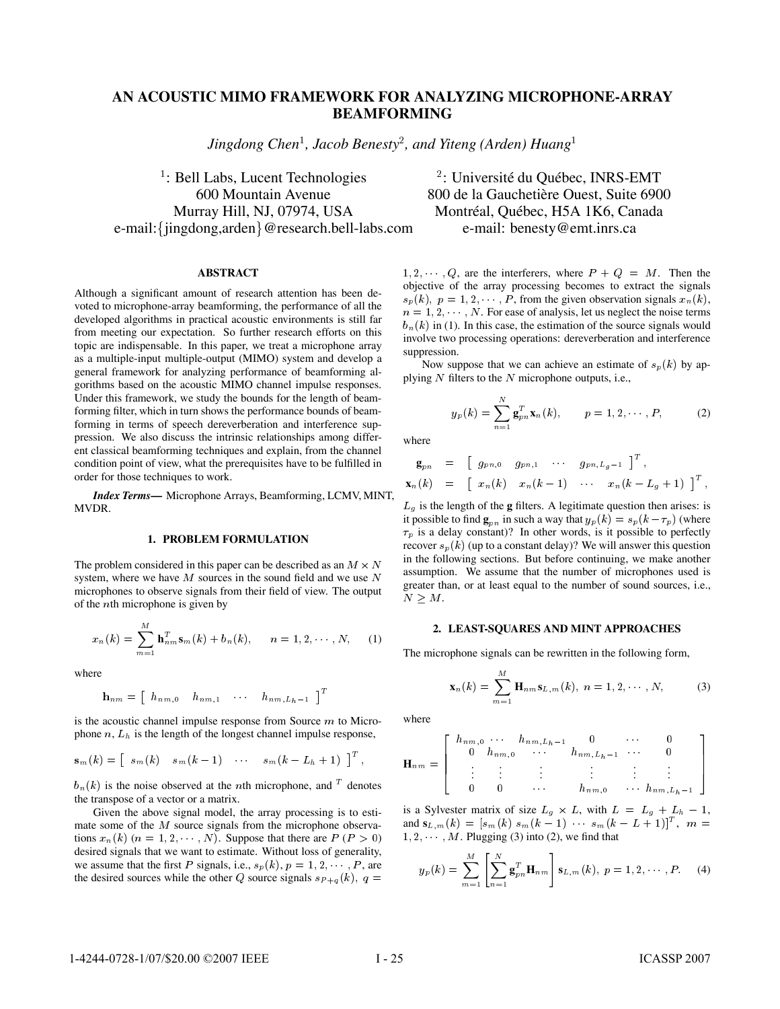# **AN ACOUSTIC MIMO FRAMEWORK FOR ANALYZING MICROPHONE-ARRAY BEAMFORMING**

*Jingdong Chen , Jacob Benesty*- *, and Yiteng (Arden) Huang*

 $\frac{1}{2}$ : Bell Labs, Lucent Technologies  $\frac{2}{3}$ Murray Hill, NJ, 07974, USA Montréal, Québec, H5A 1K6, Canada e-mail: {jingdong,arden} @research.bell-labs.com

# **ABSTRACT**

Although a significant amount of research attention has been devoted to microphone-array beamforming, the performance of all the developed algorithms in practical acoustic environments is still far from meeting our expectation. So further research efforts on this topic are indispensable. In this paper, we treat a microphone array as a multiple-input multiple-output (MIMO) system and develop a general framework for analyzing performance of beamforming algorithms based on the acoustic MIMO channel impulse responses. Under this framework, we study the bounds for the length of beamforming filter, which in turn shows the performance bounds of beamforming in terms of speech dereverberation and interference suppression. We also discuss the intrinsic relationships among different classical beamforming techniques and explain, from the channel condition point of view, what the prerequisites have to be fulfilled in order for those techniques to work.

*Index Terms***—** Microphone Arrays, Beamforming, LCMV, MINT, MVDR.

# **1. PROBLEM FORMULATION**

The problem considered in this paper can be described as an  $M \times N$ system, where we have  $M$  sources in the sound field and we use  $N$ microphones to observe signals from their field of view. The output of the *n*th microphone is given by

$$
x_n(k) = \sum_{m=1}^M \mathbf{h}_{nm}^T \mathbf{s}_m(k) + b_n(k), \qquad n = 1, 2, \cdots, N,
$$
 (1)

where

$$
\mathbf{h}_{nm} = \left[ \begin{array}{cccc} h_{nm,0} & h_{nm,1} & \cdots & h_{nm,L_h-1} \end{array} \right]^T
$$

is the acoustic channel impulse response from Source  $m$  to Microphone  $n, L_h$  is the length of the longest channel impulse response,

$$
\mathbf{s}_m(k) = \begin{bmatrix} s_m(k) & s_m(k-1) & \cdots & s_m(k-L_h+1) \end{bmatrix}^T,
$$

 $b_n(k)$  is the noise observed at the *n*th microphone, and <sup>T</sup> denotes the transpose of a vector or a matrix.

Given the above signal model, the array processing is to estimate some of the  $M$  source signals from the microphone observations  $x_n(k)$   $(n = 1, 2, \dots, N)$ . Suppose that there are  $P(P > 0)$   $1, 2, \dots$ desired signals that we want to estimate. Without loss of generality, we assume that the first P signals, i.e.,  $s_p(k)$ ,  $p = 1, 2, \dots, P$ , are the desired sources while the other Q source signals  $s_{P+q}(k)$ ,  $q =$ <sup> $s_{P}(k)$ </sup>

: Université du Québec, INRS-EMT 600 Mountain Avenue 800 de la Gauchetière Ouest, Suite 6900 e-mail: benesty@emt.inrs.ca

> $1, 2, \dots, Q$ , are the interferers, where  $P + Q = M$ . Then the objective of the array processing becomes to extract the signals  $s_p(k)$ ,  $p = 1, 2, \dots, P$ , from the given observation signals  $x_n(k)$ ,  $n = 1, 2, \dots, N$ . For ease of analysis, let us neglect the noise terms  $b_n(k)$  in (1). In this case, the estimation of the source signals would involve two processing operations: dereverberation and interference suppression.

> Now suppose that we can achieve an estimate of  $s_p(k)$  by applying  $N$  filters to the  $N$  microphone outputs, i.e.,

$$
y_p(k) = \sum_{n=1}^{N} \mathbf{g}_{pn}^T \mathbf{x}_n(k), \qquad p = 1, 2, \cdots, P,
$$
 (2)

where

$$
\begin{array}{rcl}\n\mathbf{g}_{pn} & = & \left[ \begin{array}{cccc} g_{pn,0} & g_{pn,1} & \cdots & g_{pn,L_g-1} \end{array} \right]^T, \\
\mathbf{x}_n(k) & = & \left[ \begin{array}{cccc} x_n(k) & x_n(k-1) & \cdots & x_n(k-L_g+1) \end{array} \right]^T,\n\end{array}
$$

 assumption. We assume that the number of microphones used is greater than, or at least equal to the number of sound sources, i.e.,  $L_q$  is the length of the **g** filters. A legitimate question then arises: is it possible to find  $\mathbf{g}_{nn}$  in such a way that  $y_p(k) = s_p(k - \tau_p)$  (where  $\tau_p$  is a delay constant)? In other words, is it possible to perfectly recover  $s_p(k)$  (up to a constant delay)? We will answer this question in the following sections. But before continuing, we make another  $N \geq M$ .

# **2. LEAST-SQUARES AND MINT APPROACHES**

The microphone signals can be rewritten in the following form,

$$
\mathbf{x}_{n}(k) = \sum_{m=1}^{M} \mathbf{H}_{nm} \mathbf{s}_{L,m}(k), \; n = 1, 2, \cdots, N,
$$
 (3)

where

$$
\mathbf{H}_{nm} = \left[ \begin{array}{cccc} h_{nm,0} & \cdots & h_{nm,L_h-1} & 0 & \cdots & 0 \\ 0 & h_{nm,0} & \cdots & h_{nm,L_h-1} & \cdots & 0 \\ \vdots & \vdots & \vdots & \vdots & \vdots & \vdots \\ 0 & 0 & \cdots & h_{nm,0} & \cdots & h_{nm,L_h-1} \end{array} \right]
$$

is a Sylvester matrix of size  $L_q \times L$ , with  $L = L_q + L_h - 1$ , and  $s_{L,m}(k) = [s_m(k) s_m(k-1) \cdots s_m(k-L+1)]^T$ ,  $m =$  $1, 2, \dots, M$ . Plugging (3) into (2), we find that

$$
y_p(k) = \sum_{m=1}^{M} \left[ \sum_{n=1}^{N} \mathbf{g}_{pn}^T \mathbf{H}_{nm} \right] \mathbf{s}_{L,m}(k), \ p = 1, 2, \cdots, P. \tag{4}
$$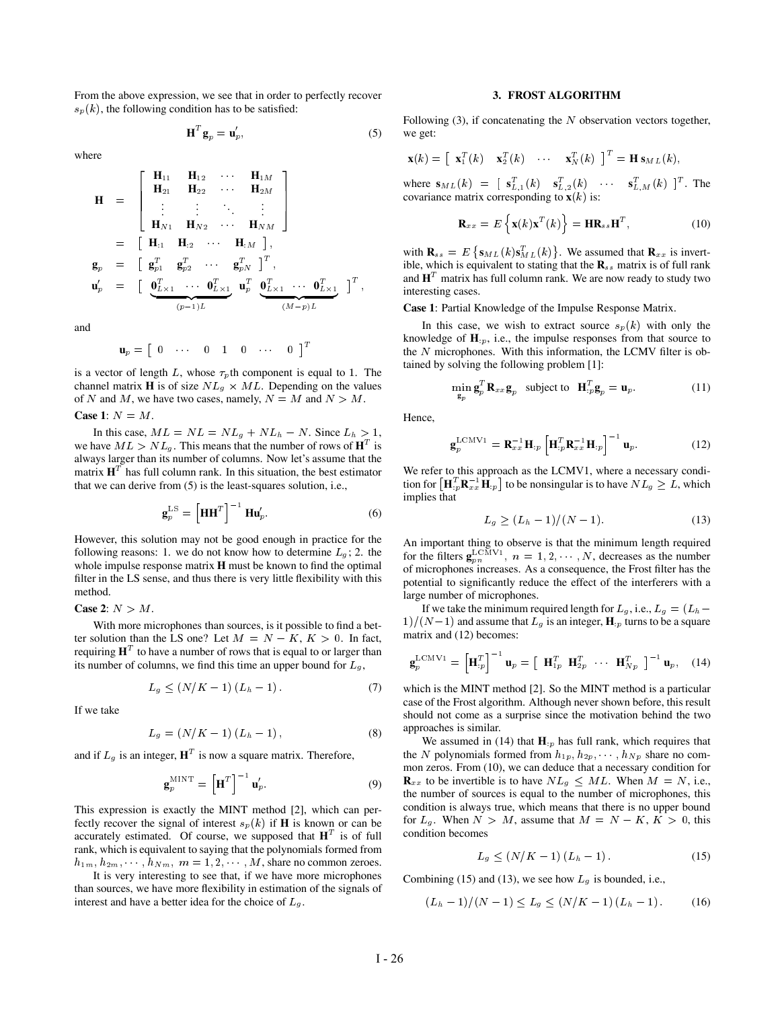From the above expression, we see that in order to perfectly recover  $s_p(k)$ , the following condition has to be satisfied:

$$
\mathbf{H}^T \mathbf{g}_p = \mathbf{u}'_p,\tag{5}
$$

where

$$
\mathbf{H} = \begin{bmatrix} \mathbf{H}_{11} & \mathbf{H}_{12} & \cdots & \mathbf{H}_{1M} \\ \mathbf{H}_{21} & \mathbf{H}_{22} & \cdots & \mathbf{H}_{2M} \\ \vdots & \vdots & \ddots & \vdots \\ \mathbf{H}_{N1} & \mathbf{H}_{N2} & \cdots & \mathbf{H}_{NM} \end{bmatrix}
$$
  
\n
$$
\mathbf{g}_p = \begin{bmatrix} \mathbf{g}_{p1}^T & \mathbf{g}_{p2}^T & \cdots & \mathbf{g}_{pN}^T \end{bmatrix}^T,
$$
  
\n
$$
\mathbf{u}'_p = \begin{bmatrix} \mathbf{g}_{p1}^T & \mathbf{g}_{p2}^T & \cdots & \mathbf{g}_{pN}^T \end{bmatrix}^T,
$$
  
\n
$$
\mathbf{u}'_p = \begin{bmatrix} \mathbf{0}_{L \times 1}^T & \cdots & \mathbf{0}_{L \times 1}^T & \mathbf{0}_{L \times 1}^T & \cdots & \mathbf{0}_{L \times 1}^T \end{bmatrix}^T,
$$

and

$$
\mathbf{u}_p = \begin{bmatrix} 0 & \cdots & 0 & 1 & 0 & \cdots & 0 \end{bmatrix}^T
$$

is a vector of length L, whose  $\tau_p$ th component is equal to 1. The channel matrix **H** is of size  $NL_q \times ML$ . Depending on the values of N and M, we have two cases, namely,  $N = M$  and  $N > M$ .

**Case 1**:  $N = M$ .

In this case,  $ML = NL = NL_g + NL_h - N$ . Since  $L_h > 1$ , we have  $ML > NL_q$ . This means that the number of rows of  $H<sup>T</sup>$  is always larger than its number of columns. Now let's assume that the matrix  $H<sup>T</sup>$  has full column rank. In this situation, the best estimator that we can derive from (5) is the least-squares solution, i.e.,

$$
\mathbf{g}_p^{\text{LS}} = \left[\mathbf{H}\mathbf{H}^T\right]^{-1} \mathbf{H}\mathbf{u}_p'.
$$
 (6)

However, this solution may not be good enough in practice for the following reasons: 1. we do not know how to determine  $L_q$ ; 2. the whole impulse response matrix **H** must be known to find the optimal filter in the LS sense, and thus there is very little flexibility with this method.

# **Case 2:**  $N > M$ .

With more microphones than sources, is it possible to find a better solution than the LS one? Let  $M = N - K$ ,  $K > 0$ . In fact, requiring  $H<sup>T</sup>$  to have a number of rows that is equal to or larger than its number of columns, we find this time an upper bound for  $L_q$ ,

$$
L_g \le (N/K - 1) (L_h - 1).
$$
 (7)

If we take

$$
L_g = (N/K - 1) (L_h - 1), \tag{8}
$$

and if  $L_q$  is an integer,  $\mathbf{H}^T$  is now a square matrix. Therefore,

$$
\mathbf{g}_p^{\text{MINT}} = \left[\mathbf{H}^T\right]^{-1} \mathbf{u}_p'.\tag{9}
$$

This expression is exactly the MINT method [2], which can perfectly recover the signal of interest  $s_p(k)$  if **H** is known or can be accurately estimated. Of course, we supposed that  $H<sup>T</sup>$  is of full rank, which is equivalent to saying that the polynomials formed from  $h_{1m}, h_{2m}, \dots, h_{Nm}, m = 1, 2, \dots, M$ , share no common zeroes.

It is very interesting to see that, if we have more microphones than sources, we have more flexibility in estimation of the signals of interest and have a better idea for the choice of  $L_g$ .

## **3. FROST ALGORITHM**

Following (3), if concatenating the  $N$  observation vectors together, we get:

$$
\mathbf{x}(k) = \begin{bmatrix} \mathbf{x}_1^T(k) & \mathbf{x}_2^T(k) & \cdots & \mathbf{x}_N^T(k) \end{bmatrix}^T = \mathbf{H} \mathbf{s}_{ML}(k),
$$

where  $\mathbf{s}_{ML}(k) = [\mathbf{s}_{L,1}^T(k) \quad \mathbf{s}_{L,2}^T(k) \quad \cdots \quad \mathbf{s}_{L,M}^T(k)]^T$ . The covariance matrix corresponding to  $\mathbf{x}(k)$  is:

$$
\mathbf{R}_{xx} = E\left\{ \mathbf{x}(k)\mathbf{x}^T(k) \right\} = \mathbf{H}\mathbf{R}_{ss}\mathbf{H}^T, \tag{10}
$$

with  $\mathbf{R}_{ss} = E \{ \mathbf{s}_{ML}(k) \mathbf{s}_{ML}^T(k) \}$ . We assumed that  $\mathbf{R}_{xx}$  is invertible, which is equivalent to stating that the  $\mathbf{R}_{ss}$  matrix is of full rank and  $\mathbf{H}^T$  matrix has full column rank. We are now ready to study two interesting cases.

**Case 1**: Partial Knowledge of the Impulse Response Matrix.

In this case, we wish to extract source  $s_p(k)$  with only the knowledge of  $\mathbf{H}_p$ , i.e., the impulse responses from that source to the  $N$  microphones. With this information, the LCMV filter is obtained by solving the following problem [1]:

$$
\min_{\mathbf{g}_p} \mathbf{g}_p^T \mathbf{R}_{xx} \mathbf{g}_p \quad \text{subject to} \quad \mathbf{H}_{p}^T \mathbf{g}_p = \mathbf{u}_p. \tag{11}
$$

Hence,

$$
\mathbf{g}_p^{\text{LCMV1}} = \mathbf{R}_{xx}^{-1} \mathbf{H}_{:p} \left[ \mathbf{H}_{:p}^T \mathbf{R}_{xx}^{-1} \mathbf{H}_{:p} \right]^{-1} \mathbf{u}_p. \tag{12}
$$

We refer to this approach as the LCMV1, where a necessary condition for  $\left[\mathbf{H}_{p}^{T}\mathbf{R}_{xx}^{-1}\mathbf{H}_{p}\right]$  to be nonsingular is to have  $NL_{g} \geq L$ , which implies that

$$
L_g \ge (L_h - 1)/(N - 1). \tag{13}
$$

An important thing to observe is that the minimum length required for the filters  $\mathbf{g}_{nn}^{\text{LCMV1}}$ ,  $n = 1, 2, \cdots, N$ , decreases as the number of microphones increases. As a consequence, the Frost filter has the potential to significantly reduce the effect of the interferers with a large number of microphones.

If we take the minimum required length for  $L_g$ , i.e.,  $L_g = (L_h 1/(N-1)$  and assume that  $L_q$  is an integer, **H**  $_p$  turns to be a square matrix and (12) becomes:

$$
\mathbf{g}_p^{\text{LCMV1}} = \left[\mathbf{H}_{:p}^T\right]^{-1} \mathbf{u}_p = \left[\begin{array}{cc} \mathbf{H}_{1p}^T & \mathbf{H}_{2p}^T & \cdots & \mathbf{H}_{Np}^T \end{array}\right]^{-1} \mathbf{u}_p, \quad (14)
$$

which is the MINT method [2]. So the MINT method is a particular case of the Frost algorithm. Although never shown before, this result should not come as a surprise since the motivation behind the two approaches is similar.

We assumed in (14) that  $\mathbf{H}_{p}$  has full rank, which requires that the N polynomials formed from  $h_{1p}, h_{2p}, \cdots, h_{Np}$  share no common zeros. From (10), we can deduce that a necessary condition for  $\mathbf{R}_{xx}$  to be invertible is to have  $NL_q \leq ML$ . When  $M = N$ , i.e., the number of sources is equal to the number of microphones, this condition is always true, which means that there is no upper bound for  $L_q$ . When  $N > M$ , assume that  $M = N - K$ ,  $K > 0$ , this condition becomes

$$
L_g \le (N/K - 1)(L_h - 1). \tag{15}
$$

Combining (15) and (13), we see how  $L<sub>g</sub>$  is bounded, i.e.,

$$
(L_h - 1)/(N - 1) \le L_g \le (N/K - 1)(L_h - 1).
$$
 (16)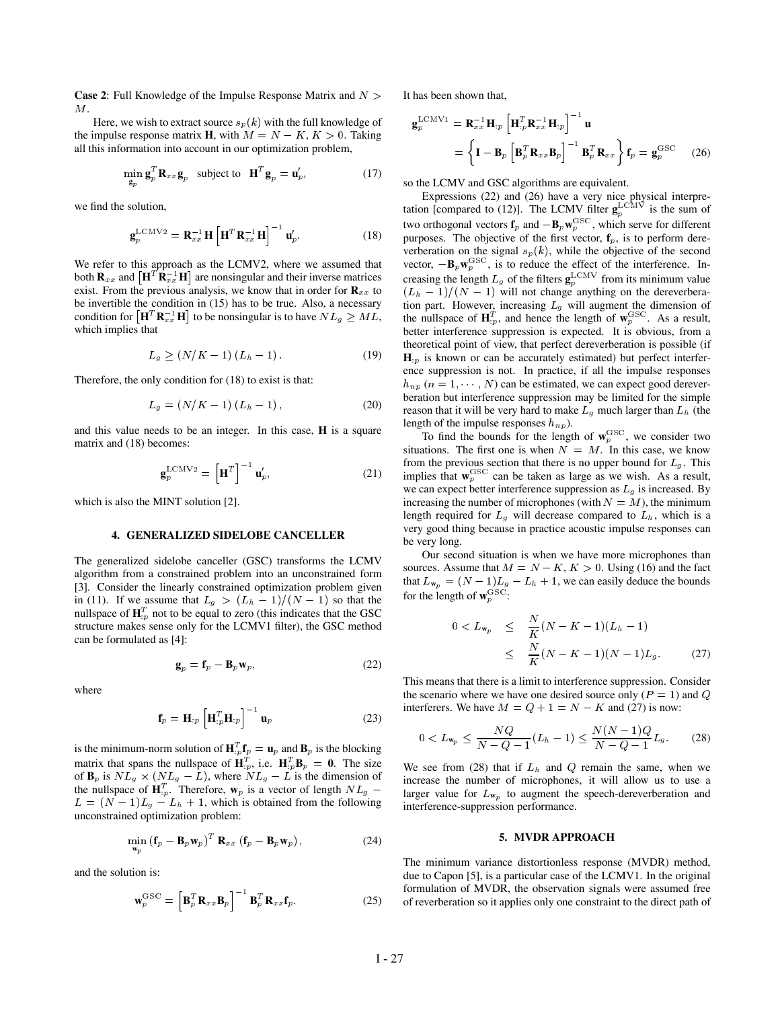**Case 2:** Full Knowledge of the Impulse Response Matrix and  $N >$ М.

Here, we wish to extract source  $s_p(k)$  with the full knowledge of the impulse response matrix **H**, with  $M = N - K$ ,  $K > 0$ . Taking all this information into account in our optimization problem,

$$
\min_{\mathbf{g}_p} \mathbf{g}_p^T \mathbf{R}_{xx} \mathbf{g}_p \quad \text{subject to} \quad \mathbf{H}^T \mathbf{g}_p = \mathbf{u}_p', \tag{17}
$$

we find the solution,

$$
\mathbf{g}_p^{\text{LCMV2}} = \mathbf{R}_{xx}^{-1} \mathbf{H} \left[ \mathbf{H}^T \mathbf{R}_{xx}^{-1} \mathbf{H} \right]^{-1} \mathbf{u}_p'.
$$
 (18)

We refer to this approach as the LCMV2, where we assumed that both  $\mathbf{R}_{xx}$  and  $[\mathbf{H}^T \mathbf{R}_{xx}^{-1} \mathbf{H}]$  are nonsingular and their inverse matrices exist. From the previous analysis, we know that in order for  $\mathbf{R}_{xx}$  to be invertible the condition in (15) has to be true. Also, a necessary condition for  $\left[\mathbf{H}^T \mathbf{R}_{xx}^{-1} \mathbf{H}\right]$  to be nonsingular is to have  $NL_g \geq ML$ , the i which implies that

$$
L_g \ge (N/K - 1) (L_h - 1).
$$
 (19)

Therefore, the only condition for (18) to exist is that:

$$
L_g = (N/K - 1) (L_h - 1), \t(20)
$$

and this value needs to be an integer. In this case, **H** is a square matrix and (18) becomes:

$$
\mathbf{g}_p^{\text{LCMV2}} = \left[\mathbf{H}^T\right]^{-1} \mathbf{u}_p',\tag{21}
$$

which is also the MINT solution [2].

#### **4. GENERALIZED SIDELOBE CANCELLER**

The generalized sidelobe canceller (GSC) transforms the LCMV algorithm from a constrained problem into an unconstrained form [3]. Consider the linearly constrained optimization problem given in (11). If we assume that  $L_q > (L_h - 1)/(N - 1)$  so that the nullspace of  $\mathbf{H}_{p}^{T}$  not to be equal to zero (this indicates that the GSC structure makes sense only for the LCMV1 filter), the GSC method can be formulated as [4]:

$$
\mathbf{g}_p = \mathbf{f}_p - \mathbf{B}_p \mathbf{w}_p,\tag{22}
$$

where

$$
\mathbf{f}_p = \mathbf{H}_{:p} \left[ \mathbf{H}_{:p}^T \mathbf{H}_{:p} \right]^{-1} \mathbf{u}_p \tag{23}
$$

is the minimum-norm solution of  $\mathbf{H}_{p}^{T} \mathbf{f}_{p} = \mathbf{u}_{p}$  and  $\mathbf{B}_{p}$  is the blocking matrix that spans the nullspace of  $\mathbf{H}_{p}^{T}$ , i.e.  $\mathbf{H}_{p}^{T} \mathbf{B}_{p} = \mathbf{0}$ . The size of  $\mathbf{B}_p$  is  $NL_q \times (NL_q - L)$ , where  $NL_q - L$  is the dimension of the nullspace of  $\mathbf{H}_{p}^{T}$ . Therefore,  $\mathbf{w}_{p}$  is a vector of length  $NL_{q}$  – larger value  $L = (N - 1)L_q - L_h + 1$ , which is obtained from the following unconstrained optimization problem:

$$
\min_{\mathbf{w}_p} (\mathbf{f}_p - \mathbf{B}_p \mathbf{w}_p)^T \mathbf{R}_{xx} (\mathbf{f}_p - \mathbf{B}_p \mathbf{w}_p), \qquad (24)
$$

and the solution is:

$$
\mathbf{w}_p^{\mathrm{GSC}} = \left[ \mathbf{B}_p^T \mathbf{R}_{xx} \mathbf{B}_p \right]^{-1} \mathbf{B}_p^T \mathbf{R}_{xx} \mathbf{f}_p. \tag{25}
$$

It has been shown that,

$$
\mathbf{g}_p^{\text{LCMV1}} = \mathbf{R}_{xx}^{-1} \mathbf{H}_{p} \left[ \mathbf{H}_{p}^T \mathbf{R}_{xx}^{-1} \mathbf{H}_{p} \right]^{-1} \mathbf{u}
$$
  
= 
$$
\left\{ \mathbf{I} - \mathbf{B}_p \left[ \mathbf{B}_p^T \mathbf{R}_{xx} \mathbf{B}_p \right]^{-1} \mathbf{B}_p^T \mathbf{R}_{xx} \right\} \mathbf{f}_p = \mathbf{g}_p^{\text{GSC}} \quad (26)
$$

so the LCMV and GSC algorithms are equivalent.

Expressions (22) and (26) have a very nice physical interpretation [compared to (12)]. The LCMV filter  $\mathbf{g}_v^{\text{LCMV}}$  is the sum of two orthogonal vectors  $f_p$  and  $-B_p \mathbf{w}_p^{\text{GSC}}$ , which serve for different purposes. The objective of the first vector,  $f_p$ , is to perform dereverberation on the signal  $s_p(k)$ , while the objective of the second vector,  $-\mathbf{B}_p\mathbf{w}_p^{\mathrm{GSC}}$ , is to reduce the effect of the interference. Increasing the length  $L_g$  of the filters  $\mathbf{g}_n^{\text{LCM V}}$  from its minimum value  $(L_h - 1)/(N - 1)$  will not change anything on the dereverberation part. However, increasing  $L_g$  will augment the dimension of the nullspace of  $\mathbf{H}_{p}^{T}$ , and hence the length of  $\mathbf{w}_{p}^{\text{GSC}}$ . As a result, better interference suppression is expected. It is obvious, from a theoretical point of view, that perfect dereverberation is possible (if  $\mathbf{H}_p$  is known or can be accurately estimated) but perfect interference suppression is not. In practice, if all the impulse responses  $h_{np}$  ( $n = 1, \dots, N$ ) can be estimated, we can expect good dereverberation but interference suppression may be limited for the simple reason that it will be very hard to make  $L_g$  much larger than  $L_h$  (the length of the impulse responses  $h_{np}$ ).

To find the bounds for the length of  $w_p^{\text{GSC}}$ , we consider two situations. The first one is when  $N = M$ . In this case, we know from the previous section that there is no upper bound for  $L_q$ . This implies that  $w_p^{\text{GSC}}$  can be taken as large as we wish. As a result, we can expect better interference suppression as  $L_g$  is increased. By increasing the number of microphones (with  $N = M$ ), the minimum length required for  $L_g$  will decrease compared to  $L_h$ , which is a very good thing because in practice acoustic impulse responses can be very long.

Our second situation is when we have more microphones than sources. Assume that  $M = N - K$ ,  $K > 0$ . Using (16) and the fact that  $L_{w_p} = (N-1)L_g - L_h + 1$ , we can easily deduce the bounds for the length of  $w_p^{\text{GSC}}$ :

$$
0 < L_{\mathbf{w}_p} \leq \frac{N}{K}(N - K - 1)(L_h - 1)
$$
\n
$$
\leq \frac{N}{K}(N - K - 1)(N - 1)L_g. \tag{27}
$$

This means that there is a limit to interference suppression. Consider the scenario where we have one desired source only  $(P = 1)$  and  $Q$ interferers. We have  $M = Q + 1 = N - K$  and (27) is now:

$$
0 < L_{\mathbf{w}_p} \le \frac{NQ}{N - Q - 1}(L_h - 1) \le \frac{N(N - 1)Q}{N - Q - 1}L_g. \tag{28}
$$

We see from (28) that if  $L<sub>h</sub>$  and  $Q$  remain the same, when we increase the number of microphones, it will allow us to use a larger value for  $L_{w_p}$  to augment the speech-dereverberation and interference-suppression performance.

### **5. MVDR APPROACH**

The minimum variance distortionless response (MVDR) method, due to Capon [5], is a particular case of the LCMV1. In the original formulation of MVDR, the observation signals were assumed free of reverberation so it applies only one constraint to the direct path of